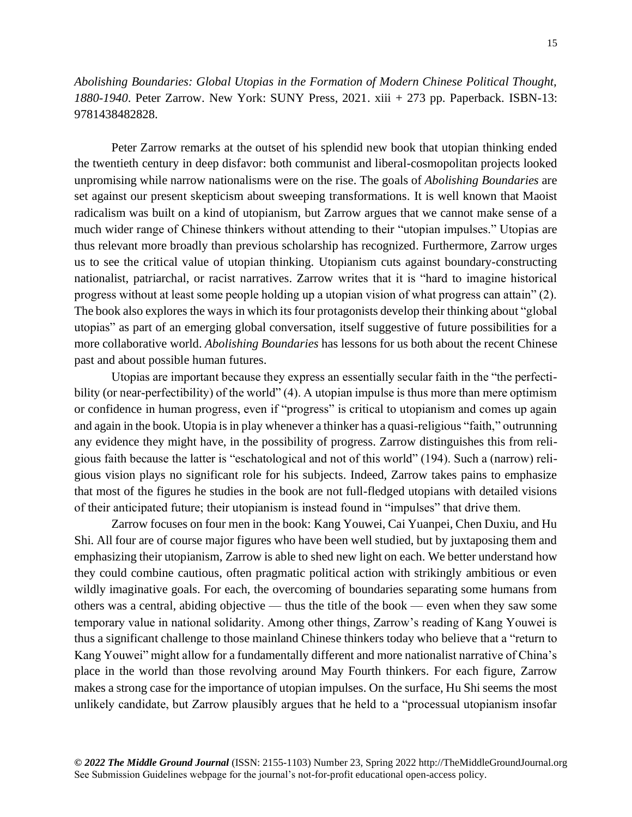*Abolishing Boundaries: Global Utopias in the Formation of Modern Chinese Political Thought, 1880-1940*. Peter Zarrow. New York: SUNY Press, 2021. xiii + 273 pp. Paperback. ISBN-13: 9781438482828.

Peter Zarrow remarks at the outset of his splendid new book that utopian thinking ended the twentieth century in deep disfavor: both communist and liberal-cosmopolitan projects looked unpromising while narrow nationalisms were on the rise. The goals of *Abolishing Boundaries* are set against our present skepticism about sweeping transformations. It is well known that Maoist radicalism was built on a kind of utopianism, but Zarrow argues that we cannot make sense of a much wider range of Chinese thinkers without attending to their "utopian impulses." Utopias are thus relevant more broadly than previous scholarship has recognized. Furthermore, Zarrow urges us to see the critical value of utopian thinking. Utopianism cuts against boundary-constructing nationalist, patriarchal, or racist narratives. Zarrow writes that it is "hard to imagine historical progress without at least some people holding up a utopian vision of what progress can attain" (2). The book also explores the ways in which its four protagonists develop their thinking about "global utopias" as part of an emerging global conversation, itself suggestive of future possibilities for a more collaborative world. *Abolishing Boundaries* has lessons for us both about the recent Chinese past and about possible human futures.

Utopias are important because they express an essentially secular faith in the "the perfectibility (or near-perfectibility) of the world" (4). A utopian impulse is thus more than mere optimism or confidence in human progress, even if "progress" is critical to utopianism and comes up again and again in the book. Utopia is in play whenever a thinker has a quasi-religious "faith," outrunning any evidence they might have, in the possibility of progress. Zarrow distinguishes this from religious faith because the latter is "eschatological and not of this world" (194). Such a (narrow) religious vision plays no significant role for his subjects. Indeed, Zarrow takes pains to emphasize that most of the figures he studies in the book are not full-fledged utopians with detailed visions of their anticipated future; their utopianism is instead found in "impulses" that drive them.

Zarrow focuses on four men in the book: Kang Youwei, Cai Yuanpei, Chen Duxiu, and Hu Shi. All four are of course major figures who have been well studied, but by juxtaposing them and emphasizing their utopianism, Zarrow is able to shed new light on each. We better understand how they could combine cautious, often pragmatic political action with strikingly ambitious or even wildly imaginative goals. For each, the overcoming of boundaries separating some humans from others was a central, abiding objective — thus the title of the book — even when they saw some temporary value in national solidarity. Among other things, Zarrow's reading of Kang Youwei is thus a significant challenge to those mainland Chinese thinkers today who believe that a "return to Kang Youwei" might allow for a fundamentally different and more nationalist narrative of China's place in the world than those revolving around May Fourth thinkers. For each figure, Zarrow makes a strong case for the importance of utopian impulses. On the surface, Hu Shi seems the most unlikely candidate, but Zarrow plausibly argues that he held to a "processual utopianism insofar